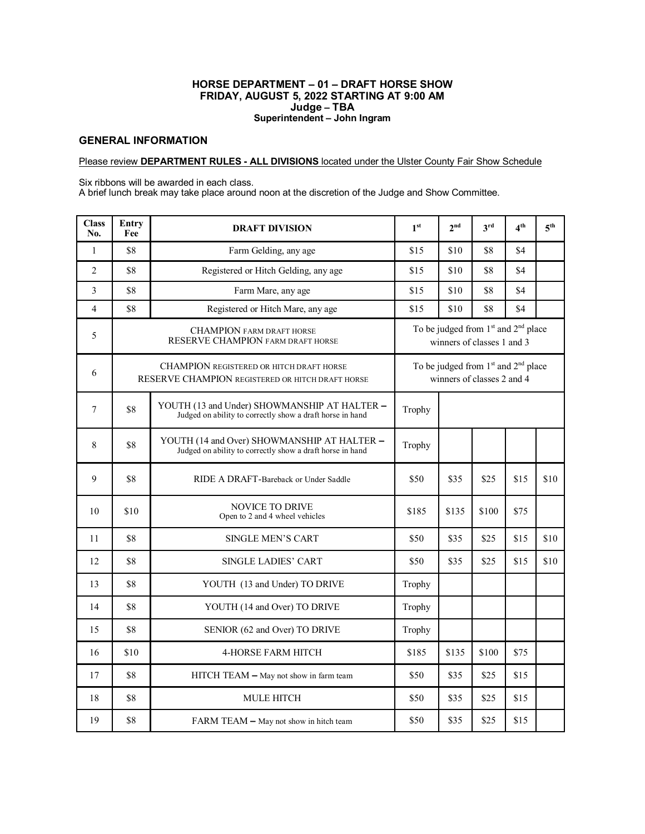## **HORSE DEPARTMENT – 01 – DRAFT HORSE SHOW FRIDAY, AUGUST 5, 2022 STARTING AT 9:00 AM Judge – TBA Superintendent – John Ingram**

## **GENERAL INFORMATION**

## Please review **DEPARTMENT RULES - ALL DIVISIONS** located under the Ulster County Fair Show Schedule

Six ribbons will be awarded in each class.

A brief lunch break may take place around noon at the discretion of the Judge and Show Committee.

| <b>Class</b><br>No. | Entry<br>Fee | <b>DRAFT DIVISION</b>                                                                                     | 1 <sup>st</sup>                                                                           | 2 <sup>nd</sup> | 3 <sup>rd</sup> | 4 <sup>th</sup> | $5^{\text{th}}$ |  |  |
|---------------------|--------------|-----------------------------------------------------------------------------------------------------------|-------------------------------------------------------------------------------------------|-----------------|-----------------|-----------------|-----------------|--|--|
| $\mathbf{1}$        | \$8          | Farm Gelding, any age                                                                                     | \$15                                                                                      | \$10            | \$8             | \$4             |                 |  |  |
| $\overline{2}$      | \$8          | Registered or Hitch Gelding, any age                                                                      | \$15                                                                                      | \$10            | \$8             | \$4             |                 |  |  |
| 3                   | \$8          | Farm Mare, any age                                                                                        | \$15                                                                                      | \$10            | \$8             | \$4             |                 |  |  |
| $\overline{4}$      | \$8          | Registered or Hitch Mare, any age                                                                         | \$15                                                                                      | \$10            | \$8             | \$4             |                 |  |  |
| 5                   |              | <b>CHAMPION FARM DRAFT HORSE</b><br>RESERVE CHAMPION FARM DRAFT HORSE                                     | To be judged from 1 <sup>st</sup> and 2 <sup>nd</sup> place<br>winners of classes 1 and 3 |                 |                 |                 |                 |  |  |
| 6                   |              | <b>CHAMPION REGISTERED OR HITCH DRAFT HORSE</b><br>RESERVE CHAMPION REGISTERED OR HITCH DRAFT HORSE       | To be judged from 1 <sup>st</sup> and 2 <sup>nd</sup> place<br>winners of classes 2 and 4 |                 |                 |                 |                 |  |  |
| 7                   | \$8          | YOUTH (13 and Under) SHOWMANSHIP AT HALTER -<br>Judged on ability to correctly show a draft horse in hand | Trophy                                                                                    |                 |                 |                 |                 |  |  |
| 8                   | \$8          | YOUTH (14 and Over) SHOWMANSHIP AT HALTER -<br>Judged on ability to correctly show a draft horse in hand  | Trophy                                                                                    |                 |                 |                 |                 |  |  |
| 9                   | \$8          | RIDE A DRAFT-Bareback or Under Saddle                                                                     | \$50                                                                                      | \$35            | \$25            | \$15            | \$10            |  |  |
| 10                  | \$10         | <b>NOVICE TO DRIVE</b><br>Open to 2 and 4 wheel vehicles                                                  | \$185                                                                                     | \$135           | \$100           | \$75            |                 |  |  |
| 11                  | \$8          | <b>SINGLE MEN'S CART</b>                                                                                  | \$50                                                                                      | \$35            | \$25            | \$15            | \$10            |  |  |
| 12                  | \$8          | <b>SINGLE LADIES' CART</b>                                                                                | \$50                                                                                      | \$35            | \$25            | \$15            | \$10            |  |  |
| 13                  | \$8          | YOUTH (13 and Under) TO DRIVE                                                                             | Trophy                                                                                    |                 |                 |                 |                 |  |  |
| 14                  | \$8          | YOUTH (14 and Over) TO DRIVE                                                                              | Trophy                                                                                    |                 |                 |                 |                 |  |  |
| 15                  | \$8          | SENIOR (62 and Over) TO DRIVE                                                                             | Trophy                                                                                    |                 |                 |                 |                 |  |  |
| 16                  | \$10         | <b>4-HORSE FARM HITCH</b>                                                                                 | \$185                                                                                     | \$135           | \$100           | \$75            |                 |  |  |
| 17                  | \$8          | $HITCH TEAM - May not show in farm team$                                                                  | \$50                                                                                      | \$35            | \$25            | \$15            |                 |  |  |
| 18                  | \$8          | <b>MULE HITCH</b>                                                                                         | \$50                                                                                      | \$35            | \$25            | \$15            |                 |  |  |
| 19                  | \$8          | FARM TEAM - May not show in hitch team                                                                    | \$50                                                                                      | \$35            | \$25            | \$15            |                 |  |  |